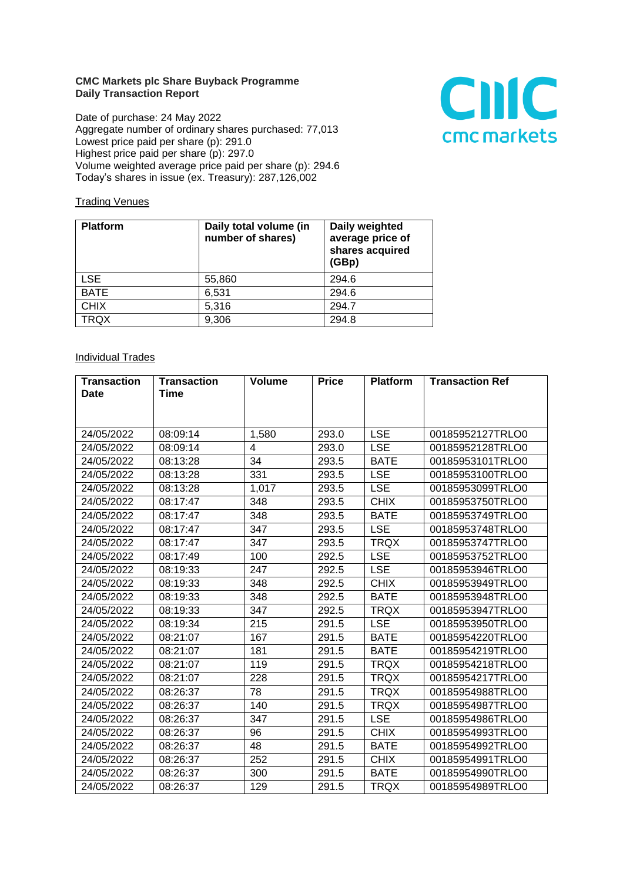## **CMC Markets plc Share Buyback Programme Daily Transaction Report**

Date of purchase: 24 May 2022 Aggregate number of ordinary shares purchased: 77,013 Lowest price paid per share (p): 291.0 Highest price paid per share (p): 297.0 Volume weighted average price paid per share (p): 294.6 Today's shares in issue (ex. Treasury): 287,126,002



## **Trading Venues**

| <b>Platform</b> | Daily total volume (in<br>number of shares) | Daily weighted<br>average price of<br>shares acquired<br>(GBp) |
|-----------------|---------------------------------------------|----------------------------------------------------------------|
| LSE.            | 55,860                                      | 294.6                                                          |
| <b>BATE</b>     | 6,531                                       | 294.6                                                          |
| <b>CHIX</b>     | 5,316                                       | 294.7                                                          |
| <b>TRQX</b>     | 9,306                                       | 294.8                                                          |

## **Individual Trades**

| <b>Transaction</b><br><b>Date</b> | <b>Transaction</b><br><b>Time</b> | <b>Volume</b> | <b>Price</b> | <b>Platform</b> | <b>Transaction Ref</b> |
|-----------------------------------|-----------------------------------|---------------|--------------|-----------------|------------------------|
|                                   |                                   |               |              |                 |                        |
|                                   |                                   |               |              |                 |                        |
| 24/05/2022                        | 08:09:14                          | 1,580         | 293.0        | <b>LSE</b>      | 00185952127TRLO0       |
| 24/05/2022                        | 08:09:14                          | 4             | 293.0        | <b>LSE</b>      | 00185952128TRLO0       |
| 24/05/2022                        | 08:13:28                          | 34            | 293.5        | <b>BATE</b>     | 00185953101TRLO0       |
| 24/05/2022                        | 08:13:28                          | 331           | 293.5        | <b>LSE</b>      | 00185953100TRLO0       |
| 24/05/2022                        | 08:13:28                          | 1,017         | 293.5        | <b>LSE</b>      | 00185953099TRLO0       |
| 24/05/2022                        | 08:17:47                          | 348           | 293.5        | <b>CHIX</b>     | 00185953750TRLO0       |
| 24/05/2022                        | 08:17:47                          | 348           | 293.5        | <b>BATE</b>     | 00185953749TRLO0       |
| 24/05/2022                        | 08:17:47                          | 347           | 293.5        | <b>LSE</b>      | 00185953748TRLO0       |
| 24/05/2022                        | 08:17:47                          | 347           | 293.5        | <b>TRQX</b>     | 00185953747TRLO0       |
| 24/05/2022                        | 08:17:49                          | 100           | 292.5        | <b>LSE</b>      | 00185953752TRLO0       |
| 24/05/2022                        | 08:19:33                          | 247           | 292.5        | <b>LSE</b>      | 00185953946TRLO0       |
| 24/05/2022                        | 08:19:33                          | 348           | 292.5        | <b>CHIX</b>     | 00185953949TRLO0       |
| 24/05/2022                        | 08:19:33                          | 348           | 292.5        | <b>BATE</b>     | 00185953948TRLO0       |
| 24/05/2022                        | 08:19:33                          | 347           | 292.5        | <b>TRQX</b>     | 00185953947TRLO0       |
| 24/05/2022                        | 08:19:34                          | 215           | 291.5        | <b>LSE</b>      | 00185953950TRLO0       |
| 24/05/2022                        | 08:21:07                          | 167           | 291.5        | <b>BATE</b>     | 00185954220TRLO0       |
| 24/05/2022                        | 08:21:07                          | 181           | 291.5        | <b>BATE</b>     | 00185954219TRLO0       |
| 24/05/2022                        | 08:21:07                          | 119           | 291.5        | <b>TRQX</b>     | 00185954218TRLO0       |
| 24/05/2022                        | 08:21:07                          | 228           | 291.5        | <b>TRQX</b>     | 00185954217TRLO0       |
| 24/05/2022                        | 08:26:37                          | 78            | 291.5        | <b>TRQX</b>     | 00185954988TRLO0       |
| 24/05/2022                        | 08:26:37                          | 140           | 291.5        | <b>TRQX</b>     | 00185954987TRLO0       |
| 24/05/2022                        | 08:26:37                          | 347           | 291.5        | <b>LSE</b>      | 00185954986TRLO0       |
| 24/05/2022                        | 08:26:37                          | 96            | 291.5        | <b>CHIX</b>     | 00185954993TRLO0       |
| 24/05/2022                        | 08:26:37                          | 48            | 291.5        | <b>BATE</b>     | 00185954992TRLO0       |
| 24/05/2022                        | 08:26:37                          | 252           | 291.5        | <b>CHIX</b>     | 00185954991TRLO0       |
| 24/05/2022                        | 08:26:37                          | 300           | 291.5        | <b>BATE</b>     | 00185954990TRLO0       |
| 24/05/2022                        | 08:26:37                          | 129           | 291.5        | <b>TROX</b>     | 00185954989TRLO0       |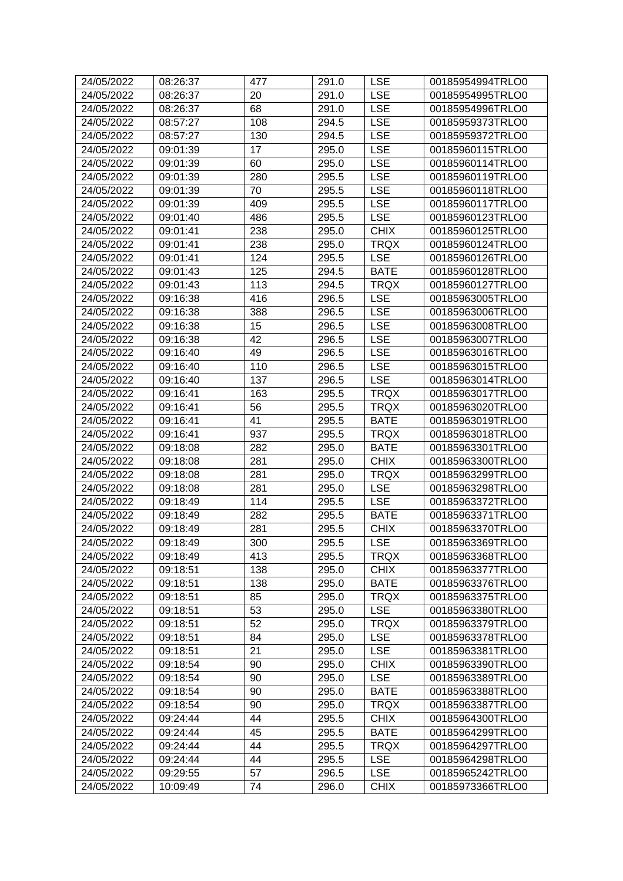| 24/05/2022 | 08:26:37 | 477 | 291.0 | <b>LSE</b>  | 00185954994TRLO0 |
|------------|----------|-----|-------|-------------|------------------|
| 24/05/2022 | 08:26:37 | 20  | 291.0 | <b>LSE</b>  | 00185954995TRLO0 |
| 24/05/2022 | 08:26:37 | 68  | 291.0 | <b>LSE</b>  | 00185954996TRLO0 |
| 24/05/2022 | 08:57:27 | 108 | 294.5 | <b>LSE</b>  | 00185959373TRLO0 |
| 24/05/2022 | 08:57:27 | 130 | 294.5 | <b>LSE</b>  | 00185959372TRLO0 |
| 24/05/2022 | 09:01:39 | 17  | 295.0 | <b>LSE</b>  | 00185960115TRLO0 |
| 24/05/2022 | 09:01:39 | 60  | 295.0 | <b>LSE</b>  | 00185960114TRLO0 |
| 24/05/2022 | 09:01:39 | 280 | 295.5 | <b>LSE</b>  | 00185960119TRLO0 |
| 24/05/2022 | 09:01:39 | 70  | 295.5 | <b>LSE</b>  | 00185960118TRLO0 |
| 24/05/2022 | 09:01:39 | 409 | 295.5 | <b>LSE</b>  | 00185960117TRLO0 |
| 24/05/2022 | 09:01:40 | 486 | 295.5 | <b>LSE</b>  | 00185960123TRLO0 |
| 24/05/2022 | 09:01:41 | 238 | 295.0 | <b>CHIX</b> | 00185960125TRLO0 |
| 24/05/2022 | 09:01:41 | 238 | 295.0 | <b>TRQX</b> | 00185960124TRLO0 |
| 24/05/2022 | 09:01:41 | 124 | 295.5 | <b>LSE</b>  | 00185960126TRLO0 |
| 24/05/2022 | 09:01:43 | 125 | 294.5 | <b>BATE</b> | 00185960128TRLO0 |
| 24/05/2022 | 09:01:43 | 113 | 294.5 | <b>TRQX</b> | 00185960127TRLO0 |
| 24/05/2022 | 09:16:38 | 416 | 296.5 | <b>LSE</b>  | 00185963005TRLO0 |
| 24/05/2022 | 09:16:38 | 388 | 296.5 | <b>LSE</b>  | 00185963006TRLO0 |
| 24/05/2022 | 09:16:38 | 15  | 296.5 | <b>LSE</b>  | 00185963008TRLO0 |
| 24/05/2022 | 09:16:38 | 42  | 296.5 | <b>LSE</b>  | 00185963007TRLO0 |
| 24/05/2022 | 09:16:40 | 49  | 296.5 | <b>LSE</b>  | 00185963016TRLO0 |
| 24/05/2022 | 09:16:40 | 110 | 296.5 | <b>LSE</b>  | 00185963015TRLO0 |
| 24/05/2022 | 09:16:40 | 137 | 296.5 | <b>LSE</b>  | 00185963014TRLO0 |
| 24/05/2022 | 09:16:41 | 163 | 295.5 | <b>TRQX</b> | 00185963017TRLO0 |
| 24/05/2022 | 09:16:41 | 56  | 295.5 | <b>TRQX</b> | 00185963020TRLO0 |
| 24/05/2022 | 09:16:41 | 41  | 295.5 | <b>BATE</b> | 00185963019TRLO0 |
| 24/05/2022 | 09:16:41 | 937 | 295.5 | <b>TRQX</b> | 00185963018TRLO0 |
| 24/05/2022 | 09:18:08 | 282 | 295.0 | <b>BATE</b> | 00185963301TRLO0 |
| 24/05/2022 | 09:18:08 | 281 | 295.0 | <b>CHIX</b> | 00185963300TRLO0 |
| 24/05/2022 | 09:18:08 | 281 | 295.0 | <b>TRQX</b> | 00185963299TRLO0 |
| 24/05/2022 | 09:18:08 | 281 | 295.0 | <b>LSE</b>  | 00185963298TRLO0 |
| 24/05/2022 | 09:18:49 | 114 | 295.5 | <b>LSE</b>  | 00185963372TRLO0 |
| 24/05/2022 | 09:18:49 | 282 | 295.5 | <b>BATE</b> | 00185963371TRLO0 |
| 24/05/2022 | 09:18:49 | 281 | 295.5 | <b>CHIX</b> | 00185963370TRLO0 |
| 24/05/2022 | 09:18:49 | 300 | 295.5 | <b>LSE</b>  | 00185963369TRLO0 |
| 24/05/2022 | 09:18:49 | 413 | 295.5 | <b>TRQX</b> | 00185963368TRLO0 |
| 24/05/2022 | 09:18:51 | 138 | 295.0 | <b>CHIX</b> | 00185963377TRLO0 |
| 24/05/2022 | 09:18:51 | 138 | 295.0 | <b>BATE</b> | 00185963376TRLO0 |
| 24/05/2022 | 09:18:51 | 85  | 295.0 | <b>TRQX</b> | 00185963375TRLO0 |
| 24/05/2022 | 09:18:51 | 53  | 295.0 | <b>LSE</b>  | 00185963380TRLO0 |
| 24/05/2022 | 09:18:51 | 52  | 295.0 | <b>TRQX</b> | 00185963379TRLO0 |
| 24/05/2022 | 09:18:51 | 84  | 295.0 | <b>LSE</b>  | 00185963378TRLO0 |
| 24/05/2022 | 09:18:51 | 21  | 295.0 | <b>LSE</b>  | 00185963381TRLO0 |
| 24/05/2022 | 09:18:54 | 90  | 295.0 | <b>CHIX</b> | 00185963390TRLO0 |
| 24/05/2022 | 09:18:54 | 90  | 295.0 | <b>LSE</b>  | 00185963389TRLO0 |
| 24/05/2022 | 09:18:54 | 90  | 295.0 | <b>BATE</b> | 00185963388TRLO0 |
| 24/05/2022 | 09:18:54 | 90  | 295.0 | <b>TRQX</b> | 00185963387TRLO0 |
| 24/05/2022 | 09:24:44 | 44  | 295.5 | <b>CHIX</b> | 00185964300TRLO0 |
| 24/05/2022 | 09:24:44 | 45  | 295.5 | <b>BATE</b> | 00185964299TRLO0 |
| 24/05/2022 | 09:24:44 | 44  | 295.5 | <b>TRQX</b> | 00185964297TRLO0 |
| 24/05/2022 | 09:24:44 | 44  | 295.5 | <b>LSE</b>  | 00185964298TRLO0 |
| 24/05/2022 | 09:29:55 | 57  | 296.5 | <b>LSE</b>  | 00185965242TRLO0 |
| 24/05/2022 | 10:09:49 | 74  | 296.0 | <b>CHIX</b> | 00185973366TRLO0 |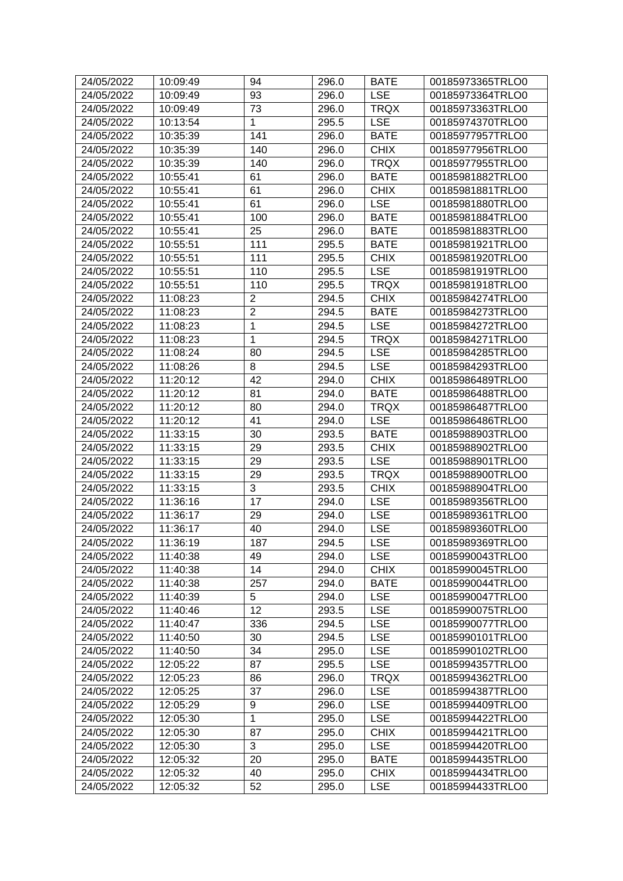| 24/05/2022 | 10:09:49 | 94             | 296.0 | <b>BATE</b> | 00185973365TRLO0 |
|------------|----------|----------------|-------|-------------|------------------|
| 24/05/2022 | 10:09:49 | 93             | 296.0 | <b>LSE</b>  | 00185973364TRLO0 |
| 24/05/2022 | 10:09:49 | 73             | 296.0 | <b>TRQX</b> | 00185973363TRLO0 |
| 24/05/2022 | 10:13:54 | $\mathbf{1}$   | 295.5 | <b>LSE</b>  | 00185974370TRLO0 |
| 24/05/2022 | 10:35:39 | 141            | 296.0 | <b>BATE</b> | 00185977957TRLO0 |
| 24/05/2022 | 10:35:39 | 140            | 296.0 | <b>CHIX</b> | 00185977956TRLO0 |
| 24/05/2022 | 10:35:39 | 140            | 296.0 | <b>TRQX</b> | 00185977955TRLO0 |
| 24/05/2022 | 10:55:41 | 61             | 296.0 | <b>BATE</b> | 00185981882TRLO0 |
| 24/05/2022 | 10:55:41 | 61             | 296.0 | <b>CHIX</b> | 00185981881TRLO0 |
| 24/05/2022 | 10:55:41 | 61             | 296.0 | <b>LSE</b>  | 00185981880TRLO0 |
| 24/05/2022 | 10:55:41 | 100            | 296.0 | <b>BATE</b> | 00185981884TRLO0 |
| 24/05/2022 | 10:55:41 | 25             | 296.0 | <b>BATE</b> | 00185981883TRLO0 |
| 24/05/2022 | 10:55:51 | 111            | 295.5 | <b>BATE</b> | 00185981921TRLO0 |
| 24/05/2022 | 10:55:51 | 111            | 295.5 | <b>CHIX</b> | 00185981920TRLO0 |
| 24/05/2022 | 10:55:51 | 110            | 295.5 | <b>LSE</b>  | 00185981919TRLO0 |
| 24/05/2022 | 10:55:51 | 110            | 295.5 | <b>TRQX</b> | 00185981918TRLO0 |
| 24/05/2022 | 11:08:23 | $\overline{2}$ | 294.5 | <b>CHIX</b> | 00185984274TRLO0 |
| 24/05/2022 | 11:08:23 | $\overline{2}$ | 294.5 | <b>BATE</b> | 00185984273TRLO0 |
| 24/05/2022 | 11:08:23 | 1              | 294.5 | <b>LSE</b>  | 00185984272TRLO0 |
| 24/05/2022 | 11:08:23 | 1              | 294.5 | <b>TRQX</b> | 00185984271TRLO0 |
| 24/05/2022 | 11:08:24 | 80             | 294.5 | <b>LSE</b>  | 00185984285TRLO0 |
| 24/05/2022 | 11:08:26 | 8              | 294.5 | <b>LSE</b>  | 00185984293TRLO0 |
| 24/05/2022 | 11:20:12 | 42             | 294.0 | <b>CHIX</b> | 00185986489TRLO0 |
| 24/05/2022 | 11:20:12 | 81             | 294.0 | <b>BATE</b> | 00185986488TRLO0 |
| 24/05/2022 | 11:20:12 | 80             | 294.0 | <b>TRQX</b> | 00185986487TRLO0 |
| 24/05/2022 | 11:20:12 | 41             | 294.0 | <b>LSE</b>  | 00185986486TRLO0 |
| 24/05/2022 | 11:33:15 | 30             | 293.5 | <b>BATE</b> | 00185988903TRLO0 |
| 24/05/2022 | 11:33:15 | 29             | 293.5 | <b>CHIX</b> | 00185988902TRLO0 |
| 24/05/2022 | 11:33:15 | 29             | 293.5 | <b>LSE</b>  | 00185988901TRLO0 |
| 24/05/2022 | 11:33:15 | 29             | 293.5 | <b>TRQX</b> | 00185988900TRLO0 |
| 24/05/2022 | 11:33:15 | 3              | 293.5 | <b>CHIX</b> | 00185988904TRLO0 |
| 24/05/2022 | 11:36:16 | 17             | 294.0 | <b>LSE</b>  | 00185989356TRLO0 |
| 24/05/2022 | 11:36:17 | 29             | 294.0 | <b>LSE</b>  | 00185989361TRLO0 |
| 24/05/2022 | 11:36:17 | 40             | 294.0 | <b>LSE</b>  | 00185989360TRLO0 |
| 24/05/2022 | 11:36:19 | 187            | 294.5 | <b>LSE</b>  | 00185989369TRLO0 |
| 24/05/2022 | 11:40:38 | 49             | 294.0 | <b>LSE</b>  | 00185990043TRLO0 |
| 24/05/2022 | 11:40:38 | 14             | 294.0 | <b>CHIX</b> | 00185990045TRLO0 |
| 24/05/2022 | 11:40:38 | 257            | 294.0 | <b>BATE</b> | 00185990044TRLO0 |
| 24/05/2022 | 11:40:39 | 5              | 294.0 | <b>LSE</b>  | 00185990047TRLO0 |
| 24/05/2022 | 11:40:46 | 12             | 293.5 | <b>LSE</b>  | 00185990075TRLO0 |
| 24/05/2022 | 11:40:47 | 336            | 294.5 | <b>LSE</b>  | 00185990077TRLO0 |
| 24/05/2022 | 11:40:50 | 30             | 294.5 | <b>LSE</b>  | 00185990101TRLO0 |
| 24/05/2022 | 11:40:50 | 34             | 295.0 | <b>LSE</b>  | 00185990102TRLO0 |
| 24/05/2022 | 12:05:22 | 87             | 295.5 | <b>LSE</b>  | 00185994357TRLO0 |
| 24/05/2022 | 12:05:23 | 86             | 296.0 | <b>TRQX</b> | 00185994362TRLO0 |
| 24/05/2022 | 12:05:25 | 37             | 296.0 | <b>LSE</b>  | 00185994387TRLO0 |
| 24/05/2022 | 12:05:29 | 9              | 296.0 | <b>LSE</b>  | 00185994409TRLO0 |
| 24/05/2022 | 12:05:30 | $\mathbf{1}$   | 295.0 | <b>LSE</b>  | 00185994422TRLO0 |
| 24/05/2022 | 12:05:30 | 87             | 295.0 | <b>CHIX</b> | 00185994421TRLO0 |
| 24/05/2022 | 12:05:30 | 3              | 295.0 | <b>LSE</b>  | 00185994420TRLO0 |
| 24/05/2022 | 12:05:32 | 20             | 295.0 | <b>BATE</b> | 00185994435TRLO0 |
| 24/05/2022 | 12:05:32 | 40             | 295.0 | <b>CHIX</b> | 00185994434TRLO0 |
|            |          |                |       |             |                  |
| 24/05/2022 | 12:05:32 | 52             | 295.0 | <b>LSE</b>  | 00185994433TRLO0 |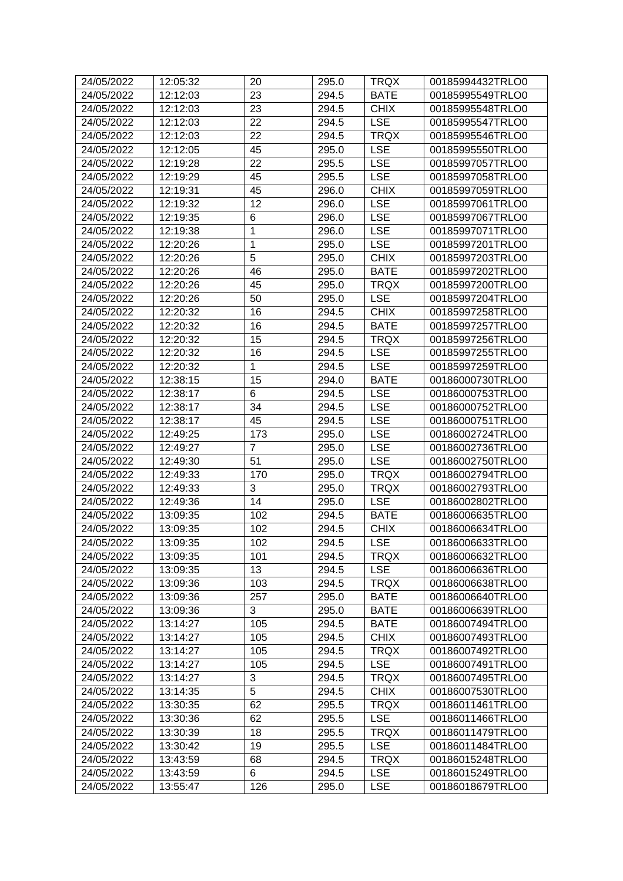| 24/05/2022 | 12:05:32 | 20             | 295.0 | <b>TRQX</b> | 00185994432TRLO0 |
|------------|----------|----------------|-------|-------------|------------------|
| 24/05/2022 | 12:12:03 | 23             | 294.5 | <b>BATE</b> | 00185995549TRLO0 |
| 24/05/2022 | 12:12:03 | 23             | 294.5 | <b>CHIX</b> | 00185995548TRLO0 |
| 24/05/2022 | 12:12:03 | 22             | 294.5 | <b>LSE</b>  | 00185995547TRLO0 |
| 24/05/2022 | 12:12:03 | 22             | 294.5 | <b>TRQX</b> | 00185995546TRLO0 |
| 24/05/2022 | 12:12:05 | 45             | 295.0 | <b>LSE</b>  | 00185995550TRLO0 |
| 24/05/2022 | 12:19:28 | 22             | 295.5 | <b>LSE</b>  | 00185997057TRLO0 |
| 24/05/2022 | 12:19:29 | 45             | 295.5 | <b>LSE</b>  | 00185997058TRLO0 |
| 24/05/2022 | 12:19:31 | 45             | 296.0 | CHIX        | 00185997059TRLO0 |
| 24/05/2022 | 12:19:32 | 12             | 296.0 | <b>LSE</b>  | 00185997061TRLO0 |
| 24/05/2022 | 12:19:35 | 6              | 296.0 | <b>LSE</b>  | 00185997067TRLO0 |
| 24/05/2022 | 12:19:38 | 1              | 296.0 | <b>LSE</b>  | 00185997071TRLO0 |
| 24/05/2022 | 12:20:26 | $\mathbf{1}$   | 295.0 | <b>LSE</b>  | 00185997201TRLO0 |
| 24/05/2022 | 12:20:26 | 5              | 295.0 | <b>CHIX</b> | 00185997203TRLO0 |
| 24/05/2022 | 12:20:26 | 46             | 295.0 | <b>BATE</b> | 00185997202TRLO0 |
| 24/05/2022 | 12:20:26 | 45             | 295.0 | <b>TRQX</b> | 00185997200TRLO0 |
| 24/05/2022 | 12:20:26 | 50             | 295.0 | <b>LSE</b>  | 00185997204TRLO0 |
| 24/05/2022 | 12:20:32 | 16             | 294.5 | <b>CHIX</b> | 00185997258TRLO0 |
| 24/05/2022 | 12:20:32 | 16             | 294.5 | <b>BATE</b> | 00185997257TRLO0 |
| 24/05/2022 | 12:20:32 | 15             | 294.5 | <b>TRQX</b> | 00185997256TRLO0 |
| 24/05/2022 | 12:20:32 | 16             | 294.5 | <b>LSE</b>  | 00185997255TRLO0 |
| 24/05/2022 | 12:20:32 | 1              | 294.5 | <b>LSE</b>  | 00185997259TRLO0 |
| 24/05/2022 | 12:38:15 | 15             | 294.0 | <b>BATE</b> | 00186000730TRLO0 |
| 24/05/2022 | 12:38:17 | 6              | 294.5 | <b>LSE</b>  | 00186000753TRLO0 |
| 24/05/2022 | 12:38:17 | 34             | 294.5 | <b>LSE</b>  | 00186000752TRLO0 |
| 24/05/2022 | 12:38:17 | 45             | 294.5 | <b>LSE</b>  | 00186000751TRLO0 |
| 24/05/2022 | 12:49:25 | 173            | 295.0 | <b>LSE</b>  | 00186002724TRLO0 |
| 24/05/2022 | 12:49:27 | $\overline{7}$ | 295.0 | <b>LSE</b>  | 00186002736TRLO0 |
| 24/05/2022 | 12:49:30 | 51             | 295.0 | <b>LSE</b>  | 00186002750TRLO0 |
| 24/05/2022 | 12:49:33 | 170            | 295.0 | <b>TRQX</b> | 00186002794TRLO0 |
| 24/05/2022 | 12:49:33 | 3              | 295.0 | <b>TRQX</b> | 00186002793TRLO0 |
| 24/05/2022 | 12:49:36 | 14             | 295.0 | <b>LSE</b>  | 00186002802TRLO0 |
| 24/05/2022 | 13:09:35 | 102            | 294.5 | <b>BATE</b> | 00186006635TRLO0 |
| 24/05/2022 | 13:09:35 | 102            | 294.5 | <b>CHIX</b> | 00186006634TRLO0 |
| 24/05/2022 | 13:09:35 | 102            | 294.5 | <b>LSE</b>  | 00186006633TRLO0 |
| 24/05/2022 | 13:09:35 | 101            | 294.5 | TRQX        | 00186006632TRLO0 |
| 24/05/2022 | 13:09:35 | 13             | 294.5 | <b>LSE</b>  | 00186006636TRLO0 |
| 24/05/2022 | 13:09:36 | 103            | 294.5 | <b>TRQX</b> | 00186006638TRLO0 |
| 24/05/2022 | 13:09:36 | 257            | 295.0 | <b>BATE</b> | 00186006640TRLO0 |
| 24/05/2022 | 13:09:36 | 3              | 295.0 | <b>BATE</b> | 00186006639TRLO0 |
| 24/05/2022 | 13:14:27 | 105            | 294.5 | <b>BATE</b> | 00186007494TRLO0 |
| 24/05/2022 | 13:14:27 | 105            | 294.5 | <b>CHIX</b> | 00186007493TRLO0 |
| 24/05/2022 | 13:14:27 | 105            | 294.5 | <b>TRQX</b> | 00186007492TRLO0 |
| 24/05/2022 | 13:14:27 | 105            | 294.5 | <b>LSE</b>  | 00186007491TRLO0 |
| 24/05/2022 | 13:14:27 | 3              | 294.5 | <b>TRQX</b> | 00186007495TRLO0 |
| 24/05/2022 | 13:14:35 | 5              | 294.5 | <b>CHIX</b> | 00186007530TRLO0 |
| 24/05/2022 | 13:30:35 | 62             | 295.5 | <b>TRQX</b> | 00186011461TRLO0 |
| 24/05/2022 | 13:30:36 | 62             | 295.5 | <b>LSE</b>  | 00186011466TRLO0 |
| 24/05/2022 | 13:30:39 | 18             | 295.5 | <b>TRQX</b> | 00186011479TRLO0 |
| 24/05/2022 | 13:30:42 | 19             | 295.5 | <b>LSE</b>  | 00186011484TRLO0 |
| 24/05/2022 | 13:43:59 | 68             | 294.5 | <b>TRQX</b> | 00186015248TRLO0 |
| 24/05/2022 | 13:43:59 | 6              | 294.5 | <b>LSE</b>  | 00186015249TRLO0 |
|            |          |                |       |             |                  |
| 24/05/2022 | 13:55:47 | 126            | 295.0 | <b>LSE</b>  | 00186018679TRLO0 |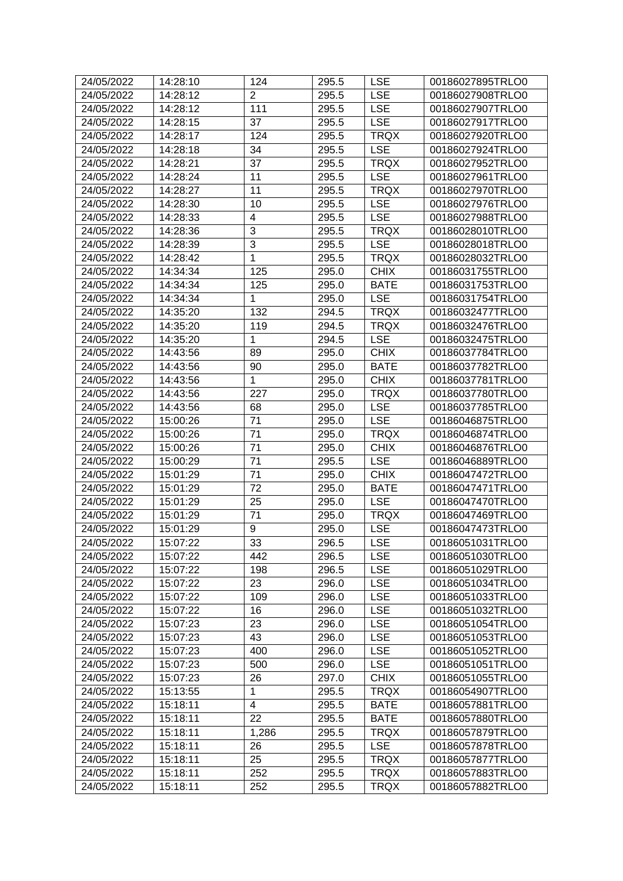| 24/05/2022               | 14:28:10             | 124                | 295.5          | <b>LSE</b>                | 00186027895TRLO0                     |
|--------------------------|----------------------|--------------------|----------------|---------------------------|--------------------------------------|
| 24/05/2022               | 14:28:12             | $\overline{2}$     | 295.5          | <b>LSE</b>                | 00186027908TRLO0                     |
| 24/05/2022               | 14:28:12             | 111                | 295.5          | <b>LSE</b>                | 00186027907TRLO0                     |
| 24/05/2022               | 14:28:15             | 37                 | 295.5          | <b>LSE</b>                | 00186027917TRLO0                     |
| 24/05/2022               | 14:28:17             | 124                | 295.5          | <b>TRQX</b>               | 00186027920TRLO0                     |
| 24/05/2022               | 14:28:18             | 34                 | 295.5          | <b>LSE</b>                | 00186027924TRLO0                     |
| 24/05/2022               | 14:28:21             | 37                 | 295.5          | <b>TRQX</b>               | 00186027952TRLO0                     |
| 24/05/2022               | 14:28:24             | 11                 | 295.5          | <b>LSE</b>                | 00186027961TRLO0                     |
| 24/05/2022               | 14:28:27             | 11                 | 295.5          | <b>TRQX</b>               | 00186027970TRLO0                     |
| 24/05/2022               | 14:28:30             | 10                 | 295.5          | <b>LSE</b>                | 00186027976TRLO0                     |
| 24/05/2022               | 14:28:33             | 4                  | 295.5          | <b>LSE</b>                | 00186027988TRLO0                     |
| 24/05/2022               | 14:28:36             | 3                  | 295.5          | <b>TRQX</b>               | 00186028010TRLO0                     |
| 24/05/2022               | 14:28:39             | 3                  | 295.5          | <b>LSE</b>                | 00186028018TRLO0                     |
| 24/05/2022               | 14:28:42             | 1                  | 295.5          | <b>TRQX</b>               | 00186028032TRLO0                     |
| 24/05/2022               | 14:34:34             | 125                | 295.0          | <b>CHIX</b>               | 00186031755TRLO0                     |
| 24/05/2022               | 14:34:34             | 125                | 295.0          | <b>BATE</b>               | 00186031753TRLO0                     |
| 24/05/2022               | 14:34:34             | 1                  | 295.0          | <b>LSE</b>                | 00186031754TRLO0                     |
| 24/05/2022               | 14:35:20             | 132                | 294.5          | <b>TRQX</b>               | 00186032477TRLO0                     |
| 24/05/2022               | 14:35:20             | 119                | 294.5          | <b>TRQX</b>               | 00186032476TRLO0                     |
| 24/05/2022               | 14:35:20             | $\mathbf 1$        | 294.5          | <b>LSE</b>                | 00186032475TRLO0                     |
|                          |                      | 89                 | 295.0          | <b>CHIX</b>               |                                      |
| 24/05/2022<br>24/05/2022 | 14:43:56             |                    | 295.0          | <b>BATE</b>               | 00186037784TRLO0<br>00186037782TRLO0 |
| 24/05/2022               | 14:43:56<br>14:43:56 | 90<br>$\mathbf{1}$ | 295.0          | <b>CHIX</b>               | 00186037781TRLO0                     |
| 24/05/2022               | 14:43:56             | 227                | 295.0          | <b>TRQX</b>               | 00186037780TRLO0                     |
|                          |                      |                    |                | <b>LSE</b>                |                                      |
| 24/05/2022               | 14:43:56             | 68                 | 295.0          |                           | 00186037785TRLO0                     |
| 24/05/2022<br>24/05/2022 | 15:00:26<br>15:00:26 | 71<br>71           | 295.0<br>295.0 | <b>LSE</b><br><b>TRQX</b> | 00186046875TRLO0<br>00186046874TRLO0 |
|                          |                      |                    |                |                           |                                      |
| 24/05/2022<br>24/05/2022 | 15:00:26<br>15:00:29 | 71<br>71           | 295.0<br>295.5 | <b>CHIX</b><br><b>LSE</b> | 00186046876TRLO0<br>00186046889TRLO0 |
| 24/05/2022               | 15:01:29             | 71                 | 295.0          | <b>CHIX</b>               | 00186047472TRLO0                     |
| 24/05/2022               |                      | 72                 |                |                           |                                      |
|                          | 15:01:29             |                    | 295.0          | <b>BATE</b>               | 00186047471TRLO0                     |
| 24/05/2022               | 15:01:29<br>15:01:29 | 25                 | 295.0          | <b>LSE</b>                | 00186047470TRLO0<br>00186047469TRLO0 |
| 24/05/2022<br>24/05/2022 |                      | 71                 | 295.0          | <b>TRQX</b>               |                                      |
|                          | 15:01:29             | 9                  | 295.0          | <b>LSE</b>                | 00186047473TRLO0                     |
| 24/05/2022               | 15:07:22             | 33                 | 296.5          | <b>LSE</b>                | 00186051031TRLO0                     |
| 24/05/2022               | 15:07:22             | 442                | 296.5          | <b>LSE</b>                | 00186051030TRLO0                     |
| 24/05/2022               | 15:07:22             | 198                | 296.5          | <b>LSE</b>                | 00186051029TRLO0                     |
| 24/05/2022               | 15:07:22             | 23                 | 296.0          | <b>LSE</b>                | 00186051034TRLO0                     |
| 24/05/2022               | 15:07:22             | 109                | 296.0          | <b>LSE</b>                | 00186051033TRLO0                     |
| 24/05/2022               | 15:07:22             | 16                 | 296.0          | <b>LSE</b>                | 00186051032TRLO0                     |
| 24/05/2022               | 15:07:23             | 23                 | 296.0          | <b>LSE</b>                | 00186051054TRLO0                     |
| 24/05/2022               | 15:07:23             | 43                 | 296.0          | <b>LSE</b>                | 00186051053TRLO0                     |
| 24/05/2022               | 15:07:23             | 400                | 296.0          | <b>LSE</b>                | 00186051052TRLO0                     |
| 24/05/2022               | 15:07:23             | 500                | 296.0          | <b>LSE</b>                | 00186051051TRLO0                     |
| 24/05/2022               | 15:07:23             | 26                 | 297.0          | <b>CHIX</b>               | 00186051055TRLO0                     |
| 24/05/2022               | 15:13:55             | $\mathbf 1$        | 295.5          | <b>TRQX</b>               | 00186054907TRLO0                     |
| 24/05/2022               | 15:18:11             | 4                  | 295.5          | <b>BATE</b>               | 00186057881TRLO0                     |
| 24/05/2022               | 15:18:11             | 22                 | 295.5          | <b>BATE</b>               | 00186057880TRLO0                     |
| 24/05/2022               | 15:18:11             | 1,286              | 295.5          | <b>TRQX</b>               | 00186057879TRLO0                     |
| 24/05/2022               | 15:18:11             | 26                 | 295.5          | <b>LSE</b>                | 00186057878TRLO0                     |
| 24/05/2022               | 15:18:11             | 25                 | 295.5          | <b>TRQX</b>               | 00186057877TRLO0                     |
| 24/05/2022               | 15:18:11             | 252                | 295.5          | <b>TRQX</b>               | 00186057883TRLO0                     |
| 24/05/2022               | 15:18:11             | 252                | 295.5          | <b>TRQX</b>               | 00186057882TRLO0                     |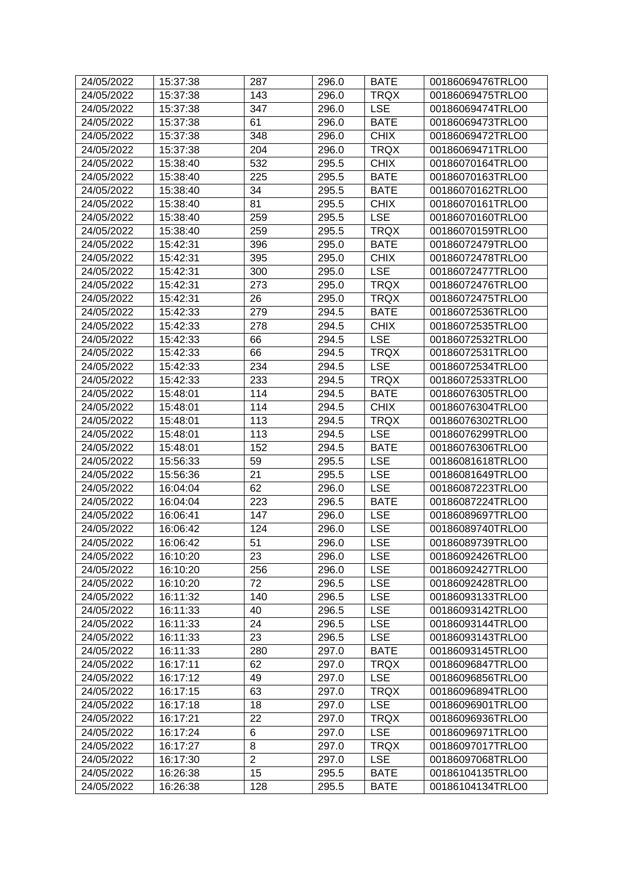| 24/05/2022 | 15:37:38 | 287            | 296.0 | <b>BATE</b> | 00186069476TRLO0 |
|------------|----------|----------------|-------|-------------|------------------|
| 24/05/2022 | 15:37:38 | 143            | 296.0 | <b>TRQX</b> | 00186069475TRLO0 |
| 24/05/2022 | 15:37:38 | 347            | 296.0 | <b>LSE</b>  | 00186069474TRLO0 |
| 24/05/2022 | 15:37:38 | 61             | 296.0 | <b>BATE</b> | 00186069473TRLO0 |
| 24/05/2022 | 15:37:38 | 348            | 296.0 | <b>CHIX</b> | 00186069472TRLO0 |
| 24/05/2022 | 15:37:38 | 204            | 296.0 | <b>TRQX</b> | 00186069471TRLO0 |
| 24/05/2022 | 15:38:40 | 532            | 295.5 | <b>CHIX</b> | 00186070164TRLO0 |
| 24/05/2022 | 15:38:40 | 225            | 295.5 | <b>BATE</b> | 00186070163TRLO0 |
| 24/05/2022 | 15:38:40 | 34             | 295.5 | <b>BATE</b> | 00186070162TRLO0 |
| 24/05/2022 | 15:38:40 | 81             | 295.5 | <b>CHIX</b> | 00186070161TRLO0 |
| 24/05/2022 | 15:38:40 | 259            | 295.5 | <b>LSE</b>  | 00186070160TRLO0 |
| 24/05/2022 | 15:38:40 | 259            | 295.5 | <b>TRQX</b> | 00186070159TRLO0 |
| 24/05/2022 | 15:42:31 | 396            | 295.0 | <b>BATE</b> | 00186072479TRLO0 |
| 24/05/2022 | 15:42:31 | 395            | 295.0 | <b>CHIX</b> | 00186072478TRLO0 |
| 24/05/2022 | 15:42:31 | 300            | 295.0 | <b>LSE</b>  | 00186072477TRLO0 |
| 24/05/2022 | 15:42:31 | 273            | 295.0 | <b>TRQX</b> | 00186072476TRLO0 |
| 24/05/2022 | 15:42:31 | 26             | 295.0 | <b>TRQX</b> | 00186072475TRLO0 |
| 24/05/2022 | 15:42:33 | 279            | 294.5 | <b>BATE</b> | 00186072536TRLO0 |
| 24/05/2022 | 15:42:33 | 278            | 294.5 | <b>CHIX</b> | 00186072535TRLO0 |
| 24/05/2022 | 15:42:33 | 66             | 294.5 | <b>LSE</b>  | 00186072532TRLO0 |
| 24/05/2022 | 15:42:33 | 66             | 294.5 | <b>TRQX</b> | 00186072531TRLO0 |
| 24/05/2022 | 15:42:33 | 234            | 294.5 | <b>LSE</b>  | 00186072534TRLO0 |
| 24/05/2022 | 15:42:33 | 233            | 294.5 | <b>TRQX</b> | 00186072533TRLO0 |
| 24/05/2022 | 15:48:01 | 114            | 294.5 | <b>BATE</b> | 00186076305TRLO0 |
| 24/05/2022 | 15:48:01 | 114            | 294.5 | <b>CHIX</b> | 00186076304TRLO0 |
| 24/05/2022 | 15:48:01 | 113            | 294.5 | <b>TRQX</b> | 00186076302TRLO0 |
| 24/05/2022 | 15:48:01 | 113            | 294.5 | <b>LSE</b>  | 00186076299TRLO0 |
| 24/05/2022 | 15:48:01 | 152            | 294.5 | <b>BATE</b> | 00186076306TRLO0 |
| 24/05/2022 | 15:56:33 | 59             | 295.5 | <b>LSE</b>  | 00186081618TRLO0 |
| 24/05/2022 | 15:56:36 | 21             | 295.5 | <b>LSE</b>  | 00186081649TRLO0 |
| 24/05/2022 | 16:04:04 | 62             | 296.0 | <b>LSE</b>  | 00186087223TRLO0 |
| 24/05/2022 | 16:04:04 | 223            | 296.5 | <b>BATE</b> | 00186087224TRLO0 |
| 24/05/2022 | 16:06:41 | 147            | 296.0 | <b>LSE</b>  | 00186089697TRLO0 |
| 24/05/2022 | 16:06:42 | 124            | 296.0 | <b>LSE</b>  | 00186089740TRLO0 |
| 24/05/2022 | 16:06:42 | 51             | 296.0 | <b>LSE</b>  | 00186089739TRLO0 |
| 24/05/2022 | 16:10:20 | 23             | 296.0 | <b>LSE</b>  | 00186092426TRLO0 |
| 24/05/2022 | 16:10:20 | 256            | 296.0 | <b>LSE</b>  | 00186092427TRLO0 |
| 24/05/2022 | 16:10:20 | 72             | 296.5 | <b>LSE</b>  | 00186092428TRLO0 |
| 24/05/2022 | 16:11:32 | 140            | 296.5 | <b>LSE</b>  | 00186093133TRLO0 |
| 24/05/2022 | 16:11:33 | 40             | 296.5 | <b>LSE</b>  | 00186093142TRLO0 |
| 24/05/2022 | 16:11:33 | 24             | 296.5 | <b>LSE</b>  | 00186093144TRLO0 |
| 24/05/2022 | 16:11:33 | 23             | 296.5 | <b>LSE</b>  | 00186093143TRLO0 |
| 24/05/2022 | 16:11:33 | 280            | 297.0 | <b>BATE</b> | 00186093145TRLO0 |
| 24/05/2022 | 16:17:11 | 62             | 297.0 | <b>TRQX</b> | 00186096847TRLO0 |
| 24/05/2022 | 16:17:12 | 49             | 297.0 | <b>LSE</b>  | 00186096856TRLO0 |
| 24/05/2022 | 16:17:15 | 63             | 297.0 | <b>TRQX</b> | 00186096894TRLO0 |
| 24/05/2022 | 16:17:18 | 18             | 297.0 | <b>LSE</b>  | 00186096901TRLO0 |
| 24/05/2022 | 16:17:21 | 22             | 297.0 | <b>TRQX</b> | 00186096936TRLO0 |
| 24/05/2022 | 16:17:24 | 6              | 297.0 | <b>LSE</b>  | 00186096971TRLO0 |
| 24/05/2022 | 16:17:27 | 8              | 297.0 | <b>TRQX</b> | 00186097017TRLO0 |
| 24/05/2022 | 16:17:30 | $\overline{2}$ | 297.0 | <b>LSE</b>  | 00186097068TRLO0 |
| 24/05/2022 | 16:26:38 | 15             | 295.5 | <b>BATE</b> | 00186104135TRLO0 |
| 24/05/2022 | 16:26:38 | 128            | 295.5 | <b>BATE</b> | 00186104134TRLO0 |
|            |          |                |       |             |                  |